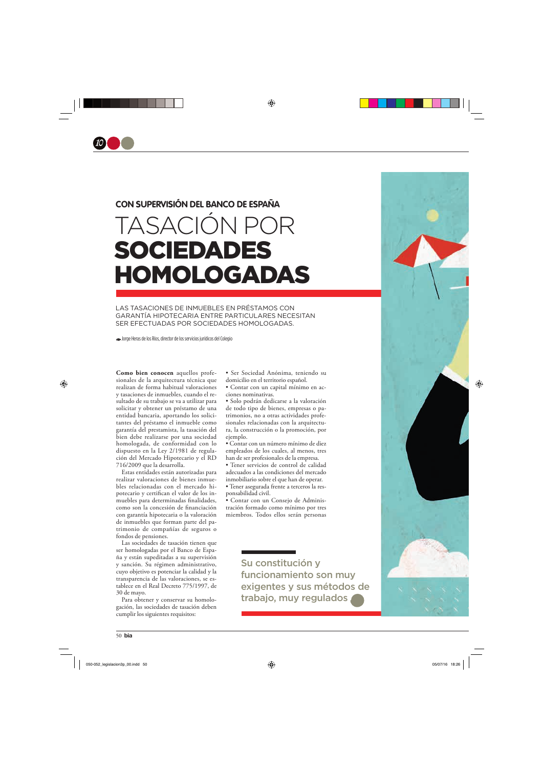

## CON SUPERVISIÓN DEL BANCO DE ESPAÑA

## TASACIÓN POR **SOCIEDADES** HOMOLOGADAS

LAS TASACIONES DE INMUEBLES EN PRÉSTAMOS CON **GARANTÍA HIPOTECARIA ENTRE PARTICULARES NECESITAN** SER EFECTUADAS POR SOCIEDADES HOMOLOGADAS.

Jorge Heras de los Ríos, director de los servicios jurídicos del Colegio

Como bien conocen aquellos profesionales de la arquitectura técnica que realizan de forma habitual valoraciones y tasaciones de inmuebles, cuando el resultado de su trabajo se va a utilizar para solicitar y obtener un préstamo de una entidad bancaria, aportando los solicitantes del préstamo el inmueble como garantía del prestamista, la tasación del bien debe realizarse por una sociedad homologada, de conformidad con lo dispuesto en la Ley 2/1981 de regulación del Mercado Hipotecario y el RD 716/2009 que la desarrolla.

Estas entidades están autorizadas para realizar valoraciones de bienes inmuebles relacionadas con el mercado hipotecario y certifican el valor de los inmuebles para determinadas finalidades, como son la concesión de financiación con garantía hipotecaria o la valoración de inmuebles que forman parte del patrimonio de compañías de seguros o fondos de pensiones.

Las sociedades de tasación tienen que ser homologadas por el Banco de España y están supeditadas a su supervisión y sanción. Su régimen administrativo, cuyo objetivo es potenciar la calidad y la transparencia de las valoraciones, se establece en el Real Decreto 775/1997, de 30 de mayo.

Para obtener y conservar su homologación, las sociedades de tasación deben cumplir los siguientes requisitos:

· Ser Sociedad Anónima, teniendo su domicilio en el territorio español.

· Contar con un capital mínimo en acciones nominativas.

· Solo podrán dedicarse a la valoración de todo tipo de bienes, empresas o patrimonios, no a otras actividades profesionales relacionadas con la arquitectura, la construcción o la promoción, por ejemplo.

· Contar con un número mínimo de diez empleados de los cuales, al menos, tres han de ser profesionales de la empresa.

· Tener servicios de control de calidad adecuados a las condiciones del mercado inmobiliario sobre el que han de operar.

· Tener asegurada frente a terceros la responsabilidad civil.

· Contar con un Consejo de Administración formado como mínimo por tres miembros. Todos ellos serán personas

> Su constitución y funcionamiento son muy exigentes y sus métodos de trabajo, muy regulados,